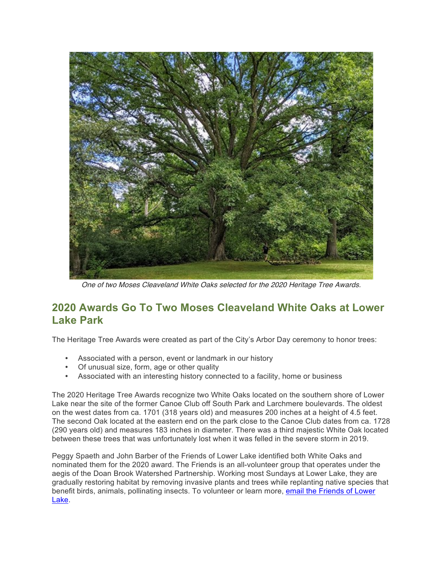

One of two Moses Cleaveland White Oaks selected for the 2020 Heritage Tree Awards.

## **2020 Awards Go To Two Moses Cleaveland White Oaks at Lower Lake Park**

The Heritage Tree Awards were created as part of the City's Arbor Day ceremony to honor trees:

- Associated with a person, event or landmark in our history
- Of unusual size, form, age or other quality
- Associated with an interesting history connected to a facility, home or business

The 2020 Heritage Tree Awards recognize two White Oaks located on the southern shore of Lower Lake near the site of the former Canoe Club off South Park and Larchmere boulevards. The oldest on the west dates from ca. 1701 (318 years old) and measures 200 inches at a height of 4.5 feet. The second Oak located at the eastern end on the park close to the Canoe Club dates from ca. 1728 (290 years old) and measures 183 inches in diameter. There was a third majestic White Oak located between these trees that was unfortunately lost when it was felled in the severe storm in 2019.

Peggy Spaeth and John Barber of the Friends of Lower Lake identified both White Oaks and nominated them for the 2020 award. The Friends is an all-volunteer group that operates under the aegis of the Doan Brook Watershed Partnership. Working most Sundays at Lower Lake, they are gradually restoring habitat by removing invasive plants and trees while replanting native species that benefit birds, animals, pollinating insects. To volunteer or learn more, email the Friends of Lower Lake.